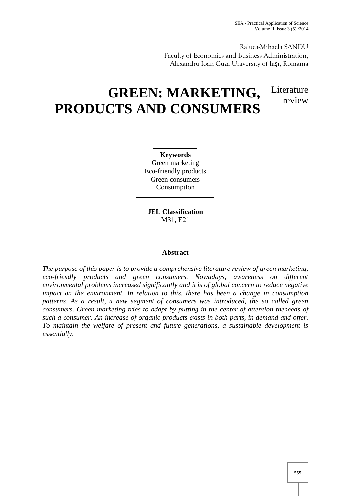Raluca-Mihaela SANDU Faculty of Economics and Business Administration, Alexandru Ioan Cuza University of Ia i, România

# **GREEN: MARKETING, PRODUCTS AND CONSUMERS**

Literature review

**Keywords** Green marketing Eco-friendly products Green consumers Consumption

**JEL Classification** M31, E21

# **Abstract**

*The purpose of this paper is to provide a comprehensive literature review of green marketing, eco-friendly products and green consumers. Nowadays, awareness on different environmental problems increased significantly and it is of global concern to reduce negative impact on the environment. In relation to this, there has been a change in consumption patterns. As a result, a new segment of consumers was introduced, the so called green consumers. Green marketing tries to adapt by putting in the center of attention theneeds of such a consumer. An increase of organic products exists in both parts, in demand and offer. To maintain the welfare of present and future generations, a sustainable development is essentially.*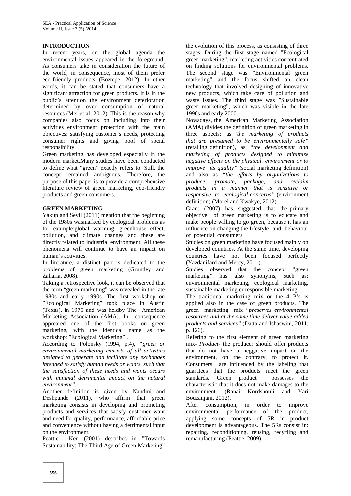## **INTRODUCTION**

In recent years, on the global agenda the environmental issues appeared in the foreground. As consumers take in consideration the future of the world, in consequence, most of them prefer eco-friendly products (Boztepe, 2012). In other words, it can be stated that consumers have a significant attraction for green products. It is in the public's attention the environment deterioration determined by over consumption of natural resources (Mei et al, 2012). This is the reason why companies also focus on including into their activities environment protection with the main objectives: satisfying customer's needs, protecting consumer rights and giving poof of social responsibility.

Green marketing has developed especially in the modern market.Many studies have been conducted to define what "green" exactly refers to. Still, the concept remained ambiguous. Therefore, the purpose of this paper is to provide a comprehensive literature review of green marketing, eco-friendly products and green consumers.

#### **GREEN MARKETING**

Yakup and Sevil (2011) mention that the beginning of the 1980s wasmarked by ecological problems as for example:global warming, greenhouse effect, pollution, and climate changes and these are directly related to industrial environment. All these phenomena will continue to have an impact on human's activities.

In literature, a distinct part is dedicated to the problems of green marketing (Grundey and Zaharia, 2008).

Taking a retrospective look, it can be observed that the term "green marketing" was revealed in the late 1980s and early 1990s. The first workshop on "Ecological Marketing" took place in Austin (Texas), in 1975 and was heldby The American Marketing Association (AMA). In consequence appreared one of the first books on green marketing, with the identical name as the workshop: "Ecological Marketing" .

According to Polonsky (1994, p.4), *"green or environmental marketing consists of all activities designed to generate and facilitate any exchanges intended to satisfy human needs or wants, such that the satisfaction of these needs and wants occurs with minimal detrimental impact on the natural environment".*

Another definition is given by Nandini and Deshpande (2011), who affirm that green marketing consists in developing and promoting products and services that satisfy customer want and need for quality, performance, affordable price and convenience without having a detrimental input on the environment.

Peattie Ken (2001) describes in "Towards Sustainability: The Third Age of Green Marketing"

the evolution of this process, as consisting of three stages. During the first stage named "Ecological green marketing", marketing activities concentrated on finding solutions for environmental problems. The second stage was "Environmental green marketing" and the focus shifted on clean technology that involved designing of innovative new products, which take care of pollution and waste issues. The third stage was "Sustainable green marketing", which was visible in the late 1990s and early 2000.

Nowadays, the American Marketing Association (AMA) divides the definition of green marketing in three aspects: as *"the marketing of products that are presumed to be environmentally safe"* (retailing definition), as *"the development and marketing of products designed to minimize negative effects on the physical environment or to improve its quality"* (social marketing definition) and also as *"the efforts by organizations to produce, promote, package, and reclaim products in a manner that is sensitive or responsive to ecological concerns"* (environment definition) (Morel and Kwakye, 2012).

Grant (2007) has suggested that the primary objective of green marketing is to educate and make people willing to go green, because it has an influence on changing the lifestyle and behaviour of potential consumers.

Studies on green marketing have focused mainly on developed countries. At the same time, developing countries have not been focused perfectly (Yazdanifard and Mercy, 2011).

Studies observed that the concept "green marketing" has also synonyms, such as: environmental marketing, ecological marketing, sustainable marketing or responsible marketing.

The traditional marketing mix or the 4 P's is applied also in the case of green products. The green marketing mix *"preserves environmental resources and at the same time deliver value added products and services"* (Datta and Ishaswini, 2011, p. 126).

Refering to the first element of green marketing mix- *Product*- the producer should offer products that do not have a neggative impact on the environment, on the contrary, to protect it. Consumers are influenced by the labeling that guaratees that the products meet the green standards. Green product possesses the characteristic that it does not make damages to the environment. (Ranai Kordshouli and Yari Bouzanjani, 2012).

After consumption, in order to improve environmental performance of the product, applying some concepts of 5R in product development is advantageous. The 5Rs consist in: repairing, reconditioning, reusing, recycling and remanufacturing (Peattie, 2009).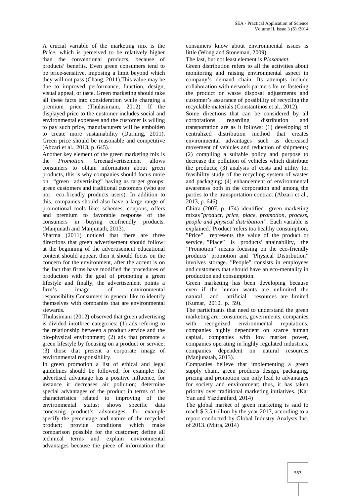A crucial variable of the marketing mix is the *Price*, which is perceived to be relatively higher than the conventional products, because of products' benefits. Even green consumers tend to be price-sensitive, imposing a limit beyond which they will not pass (Chang, 2011).This value may be due to improved performance, function, design, visual appeal, or taste. Green marketing should take all these facts into consideration while charging a premium price (Thulasimani, 2012). If the displayed price to the customer includes social and environmental expenses and the customer is willing to pay such price, manufacturers will be embolden to create more sustainability (Durning, 2011). Green price should be reasonable and competitive (Abzari et al., 2013, p. 645).

Another key element of the green marketing mix is the *Promotion.* Greenadvertisement allows consumers to obtain information about green products, this is why companies should focus more on "green advertising" having as target groups: green customers and traditional customers (who are not eco-friendly products users). In addition to this, companies should also have a large range of promotional tools like: schemes, coupons, offers and premium to favorable response of the consumers in buying ecofriendly products. (Manjunath and Manjunath, 2013).

Sharma (2011) noticed that there are three directions that green advertisement should follow: at the beginning of the advertisement educational content should appear, then it should focus on the concern for the environment, after the accent is on the fact that firms have modified the procedures of production with the goal of promoting a green lifestyle and finally, the advertisement points a firm's image of environmental responsibility.Consumers in general like to identify themselves with companies that are environmental stewards.

Thulasimani (2012) observed that green advertising is divided intothree categories: (1) ads refering to the relationship between a product service and the bio-physical environment; (2) ads that promote a green lifestyle by focusing on a product or service; (3) those that present a corporate image of environmental responsibility.

In green promotion a list of ethical and legal guidelines should be followed, for example: the advertised advantage has a positive influence, for instance it decreases air pollution; determine special advantages of the product in terms of the characteristics related to improving of the environmental status; shows specific data concernig product's advantages, for example specify the percentage and nature of the recycled product; provide conditions which make comparison possible for the customer; define all technical terms and explain environmental advantages because the piece of information that

consumers know about environmental issues is little (Wong and Stoneman, 2009).

The last, but not least element is *Plasament.*

Green distribution refers to all the activities about monitoring and raising environmental aspect in company's demand chain. Its attempts include collaboration with network partners for re-fostering the product or waste disposal adjustments and customer's assurance of possibility of recycling the recyclable materials (Constantinos et al., 2012).

Some directions that can be considered by all corporations regarding distribution and transportation are as it follows: (1) developing of centralized distribution method that creates environmental advantages such as decreased movement of vehicles and reduction of shipments; (2) compiling a suitable policy and purpose to decrease the pollution of vehicles which distribute the products; (3) analysis of costs and utility for feasibility study of the recycling system of wastes and packaging; (4) enhancement of environmental awareness both in the corporation and among the parties to the transportation contract (Abzari et al., 2013, p. 646).

Chitra (2007, p. 174) identified green marketing mixas*"product, price, place, promotion, process, people and physical distribution".* Each variable is explained."Product"refers toa healthy consumption, "Price" represents the value of the product or service, "Place" is products' attainability, the "Promotion" means focusing on the eco-friendly products' promotion and "Physical Distribution" involves storage. "People" consists in employees and customers that should have an eco-mentality in production and consumption.

Green marketing has been developing because even if the human wants are unlimited the and artificial resources are limited (Kumar, 2010, p. 59).

The participants that need to understand the green marketing are: consumers, governments, companies with recognized environmental reputations, companies highly dependent on scarce human capital, companies with low market power, companies operating in highly regulated industries, companies dependent on natural resources (Manjunatah, 2013).

Companies believe that implementing a green supply chain, green products design, packaging, pricing and promotion can only lead to advantages for society and environment; thus, it has taken priority over traditional marketing initiatives. (Kar Yan and Yazdanifard, 2014)

The global market of green marketing is said to reach \$ 3.5 trillion by the year 2017, according to a report conducted by Global Industry Analysts Inc. of 2013. (Mitra, 2014)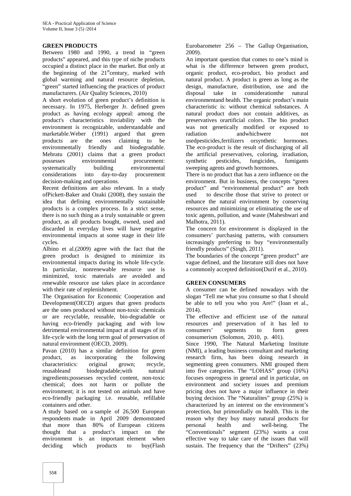### **GREEN PRODUCTS**

Between 1980 and 1990, a trend in "green products" appeared, and this type of niche products occupied a distinct place in the market. But only at the beginning of the  $21<sup>st</sup>$ century, marked with global warming and natural resource depletion, "green" started influencing the practices of product manufacturers. (Air Quality Sciences, 2010)

A short evolution of green product's definition is necessary. In 1975, Herberger Jr. defined green product as having ecology appeal: among the product's characteristics itsviability with the environment is recognizable, understandable and marketable.Weber (1991) argued that green products are the ones claiming to be environmentally friendly and biodegradable. Mebratu (2001) claims that a green product possesses environmental procurement: systematically building environmental considerations into day-to-day procurement decision-making and operations.

Recent definitions are also relevant. In a study ofPickett-Baker and Ozaki (2008), they sustain the idea that defining environmentally sustainable products is a complex process. In a strict sense, there is no such thing as a truly sustainable or green product, as all products bought, owned, used and discarded in everyday lives will have negative environmental impacts at some stage in their life cycles.

Albino et al.(2009) agree with the fact that the green product is designed to minimize its environmental impacts during its whole life-cycle. In particular, nonrenewable resource use is minimized, toxic materials are avoided and renewable resource use takes place in accordance with their rate of replenishment.

The Organisation for Economic Cooperation and Development(OECD) argues that green products are the ones produced without non-toxic chemicals or are recyclable, reusable, bio-degradable or having eco-friendly packaging and with low detrimental environmental impact at all stages of its life-cycle with the long term goal of preservation of natural environment (OECD, 2009).

Pavan (2010) has a similar definition for green product, as incorporating the following<br>characteristics: original grown; recycle. characteristics: original grown; recycle, reusableand biodegradable;with natural ingredients;possesses recycled content, non-toxic chemical; does not harm or pollute the environment; it is not tested on animals and have eco-friendly packaging i.e. reusable, refillable containers and other.

A study based on a sample of 26,500 European respondents made in April 2009 demonstrated that more than 80% of European citizens thought that a product's impact on the environment is an important element when deciding which products to buy(Flash Eurobarometer 256 – The Gallup Organisation, 2009).

An important question that comes to one's mind is what is the difference between green product, organic product, eco-product, bio product and natural product. A product is green as long as the design, manufacture, distribution, use and the disposal take in consideration the natural considerationthe environmentand health. The organic product's main characteristic is: without chemical substances. A natural product does not contain additives, as preservatives orartificial colors. The bio product was not genetically modified or exposed to andwhichwere not usedpesticides,fertilizers orsynthetic hormones. The eco-product is the result of discharging of all the artificial preservatives, coloring, irradiation, synthetic pesticides, fungicides, fumigants sweeping agents and growth hormones.

There is no product that has a zero influence on the environment. But in business, the concepts "green product" and "environmental product" are both used to describe those that strive to protect or enhance the natural environment by conserving resources and minimizing or eliminating the use of toxic agents, pollution, and waste (Maheshwari and Malhotra, 2011).

The concern for environment is displayed in the consumers' purchasing patterns, with consumers increasingly preferring to buy "environmentally friendly products" (Singh, 2011).

The boundaries of the concept "green product" are vague defined, and the literature still does not have a commonly accepted definition(Durif et al., 2010).

#### **GREEN CONSUMERS**

A consumer can be defined nowadays with the slogan "Tell me what you consume so that I should be able to tell you who you Are!" (Ioan et al., 2014).

The effective and efficient use of the natural resources and preservation of it has led to consumers' segments to form green consumerism (Solomon, 2010, p. 401).

Since 1990, The Natural Marketing Institute (NMI), a leading business consultant and marketing research firm, has been doing research in segmenting green consumers. NMI grouped them into five categories. The "LOHAS" group (16%) focuses onprogress in general and in particular, on environment and society issues and premium pricing does not have a major influence in their buying decision. The "Naturalites" group (25%) is characterized by an interest on the environment's protection, but primordially on health. This is the reason why they buy many natural products for personal health and well-being. The "Conventionals" segment (23%) wants a cost effective way to take care of the issues that will sustain. The frequency that the "Drifters" (23%)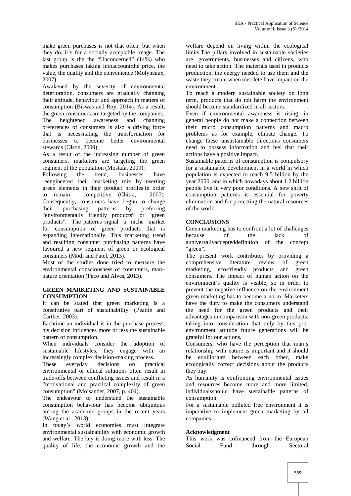make green purchases is not that often, but when they do, it's for a socially acceptable image. The last group is the the "Unconcerned" (14%) who makes purchases taking intoaccount:the price, the value, the quality and the convenience (Molyneaux, 2007).

Awakened by the severity of environmental deterioration, consumers are gradually changing their attitude, behaviour and approach in matters of consumption (Biswas and Roy, 2014). As a result, the green consumers are targeted by the companies. The heightened awareness and changing preferences of consumers is also a driving force that is necessitating the transformation for businesses to become better environmental stewards (Olson, 2009).

As a result of the increasing number of green consumers, marketers are targeting the green segment of the population (Mostafa, 2009).

Following the trend, businesses have reengineered their marketing mix by inserting green elements in their product profiles in order to remain competitive (Chitra, 2007). Consequently, consumers have begun to change their purchasing patterns by preferring "environmentally friendly products" or "green products". The patterns signal a niche market for consumption of green products that is expanding internationally. This marketing trend and resulting consumer purchasing patterns have favoured a new segment of green or ecological consumers (Modi and Patel, 2013).

Most of the studies done tried to measure the environmental consciousness of consumers, man– nature orientation (Paco and Alves, 2013).

#### **GREEN MARKETING AND SUSTAINABLE CONSUMPTION**

It can be stated that green marketing is a constitutive part of sustainability. (Peattie and Carther, 2003).

Eachtime an individual is in the purchase process, his decision influences more or less the sustainable pattern of consumption.

When individuals consider the adoption of sustainable lifestyles, they engage with an increasingly complex decision-making process.

These everyday decisions on practical environmental or ethical solutions often result in trade-offs between conflicting issues and result in a "motivational and practical complexity of green consumption" (Moisander, 2007, p. 404).

The endeavour to understand the sustainable consumption behaviour has become ubiquitous among the academic groups in the recent years (Wang et al., 2013).

In today's world economies must integrate environmental sustainability with economic growth and welfare. The key is doing more with less. The quality of life, the economic growth and the

welfare depend on living within the ecological limits.The pillars involved in sustainable societies are: governments, businesses and citizens, who need to take action. The materials used in products production, the energy needed to use them and the waste they create when obsolete have impact on the environment.

To reach a modern sustainable society on long term, products that do not harm the environment should become standardized in all sectors.

Even if environmental awareness is rising, in general people do not make a connection between their micro consumption patterns and macro problems as for example, climate change. To change these unsustainable directions consumers need to possess information and feel that their actions have a positive impact.

Sustainable patterns of consumption is compulsory for a sustainable development in a world in which population is expected to reach 9,5 billion by the year 2050, and in which nowadays about 1.2 billion people live in very poor conditions. A new shift of consumption patterns is essential for poverty elimination and for protecting the natural resources of the world.

# **CONCLUSIONS**

Green marketing has to confront a lot of challenges<br>because of the lack of because of the lack of auniversallyaccepteddefinition of the concept "green".

The present work contributes by providing a comprehensive literature review of green marketing, eco-friendly products and green consumers. The impact of human action on the environment's quality is visible, so in order to prevent the negative influence on the environment green marketing has to become a norm. Marketers have the duty to make the consumers understand the need for the green products and their advantages in comparison with non-green products, taking into consideration that only by this pro environment attitude future generations will be grateful for our actions.

Consumers, who have the perception that man's relationship with nature is important and it should be equilibrium between each other, make ecologically correct decisions about the products they buy.

As humanity is confronting environmental issues and resources become more and more limited, individualsshould have sustainable patterns of consumption.

For a sustainable polluted free environment it is imperative to implement green marketing by all companies.

# **Acknowledgment**

This work was cofinanced from the European Social Fund through Sectoral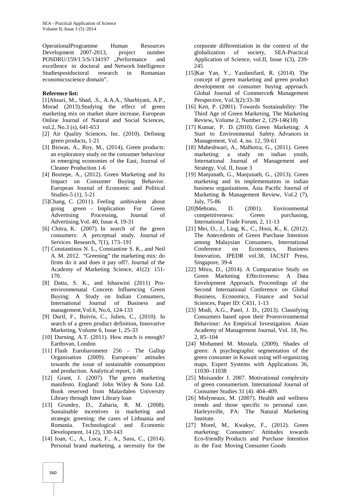OperationalProgramme Human Resources Development 2007-2013, project number POSDRU/159/1.5/S/134197 "Performance and excellence in doctoral and Network Intelligence Studiespostdoctoral research in Romanian economicsscience domain".

#### **Reference list:**

[1]Abzari, M., Shad, .S., A.A.A., Sharbiyani, A.P., Morad (2013).Studying the effect of green marketing mix on market share increase, European Online Journal of Natural and Social Sciences, vol.2, No.3 (s), 641-653

- [2] Air Quality Sciences, Inc. (2010). Defining green products, 1-21
- [3] Biswas, A., Roy, M., (2014), Green products: an exploratory study on the consumer behaviour in emerging economies of the East, Journal of Cleaner Production 1-6
- [4] Boztepe, A., (2012). Green Marketing and Its Impact on Consumer Buying Behavior. European Journal of Economic and Political Studies-5 (1), 5-21
- [5]Chang, C. (2011). Feeling ambivalent about going green – Implication For Green Advertising Processing, Journal of Advertising.Vol. 40, Issue 4, 19-31
- [6] Chitra, K. (2007). In search of the green consumers: A perceptual study. Journal of Services Research, 7(1), 173–191
- [7] Constantinos N. L., Constantine S. K., and Neil A. M. 2012. "Greening" the marketing mix: do firms do it and does it pay off?. Journal of the Academy of Marketing Science, 41(2): 151- 170.
- [8] Datta, S. K., and Ishaswini (2011) Pro environmenatal Concern Influencing Green Buying: A Study on Indian Consumers, International Journal of Business and management,Vol.6, No.6, 124-133
- [9] Durif, F., Boivin, C., Julien, C., (2010). In search of a green product definition, Innovative Marketing, Volume 6, Issue 1, 25-33
- [10] Durning, A.T. (2011). How much is enough? Earthsvan, London
- [11] Flash Eurobarometer 256 The Gallup Organisation (2009). Europeans' attitudes towards the issue of sustainable consumption and production. Analytical report, 1-86
- [12] Grant, J. (2007). The green marketing manifesto. England: John Wiley & Sons Ltd. Book reserved from Malardalen University Library through Inter Library loan
- [13] Grundey, D., Zaharia, R. M. (2008). Sustainable incentives in marketing and strategic greening: the cases of Lithuania and Romania. Technological and Economic Development, 14 (2), 130-143
- [14] Ioan, C., A., Luca, F., A., Sasu, C., (2014). Personal brand marketing, a necessity for the

corporate differentiation in the context of the globalization of society, SEA-Practical Application of Science, vol.II, Issue 1(3), 239- 245

- [15]Kar Yan, Y., Yazdanifard, R. (2014). The concept of green marketing and green product development on consumer buying approach. Global Journal of Commerce& Management Perspective, Vol.3(2):33-38
- [16] Ken, P. (2001). Towards Sustainability: The Third Age of Green Marketing, The Marketing Review**,** Volume 2, Number 2, 129-146(18)
- [17] Kumar, P. D. (2010). Green Marketing: A Start to Environmental Safety. Advances in Management, Vol. 4, no. 12, 59-61
- [18] Maheshwari, A., Malhotra, G., (2011). Green marketing: a study on indian youth, International Journal of Management and Strategy, Vol. II, Issue 3
- [19] Manjunath, G., Manjunath, G., (2013). Green marketing and its implementation in indian business organizations. Asia Pacific Journal of Marketing & Management Review, Vol.2 (7), July, 75-86
- D. (2001). Environmental competitiveness: Green purchasing, International Trade Forum, 2, 11-13
- [21] Mei, O., J., Ling, K., C., Hooi, K., K. (2012). The Antecedents of Green Purchase Intention among Malaysian Consumers, International Conference on Economics, Business Innovation, IPEDR vol.38, IACSIT Press, Singapore, 39-4
- [22] Mitra, D., (2014). A Comparative Study on Green Marketing Effectiveness: A Data Envelopment Approach, Proceedings of the Second International Conference on Global Business, Economics, Finance and Social Sciences, Paper ID: C431, 1-13
- [23] Modi, A.G., Patel, J. D., (2013). Classifying Consumers based upon their Proenvironmental Behaviour: An Empirical Investigation. Asian Academy of Management Journal, Vol. 18, No. 2, 85–104
- [24] Mohamed M. Mostafa. (2009). Shades of green: A psychographic segmentation of the green consumer in Kuwait using self-organizing maps. Expert Systems with Applications 36, 11030–11038
- [25] Moisander J. 2007. Motivational complexity of green consumerism. International Journal of Consumer Studies 31 (4): 404–409.
- [26] Molyneaux, M. (2007). Health and wellness trends and those specific to personal care. Harleysville, PA: The Natural Marketing Institute.
- [27] Morel, M., Kwakye, F., (2012). Green marketing: Consumers' Attitudes towards Eco-friendly Products and Purchase Intention in the Fast Moving Consumer Goods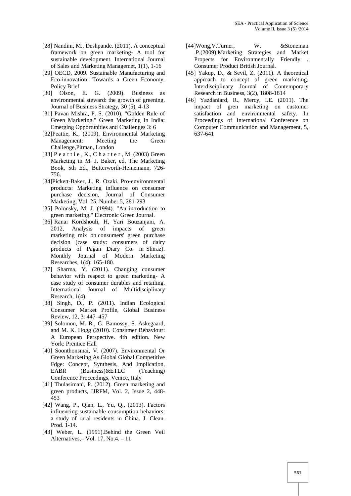- [28] Nandini, M., Deshpande. (2011). A conceptual framework on green marketing- A tool for sustainable development. International Journal of Sales and Marketing Managemet, 1(1), 1-16
- [29] OECD, 2009. Sustainable Manufacturing and Eco-innovation: Towards a Green Economy. Policy Brief<br>
[30] Olson
- Olson, E. G. (2009). Business as environmental steward: the growth of greening. Journal of Business Strategy, 30 (5), 4-13
- [31] Pavan Mishra, P. S. (2010). "Golden Rule of Green Marketing." Green Marketing In India: Emerging Opportunities and Challenges 3: 6
- [32]Peattie, K., (2009). Environmental Marketing Management: Meeting the Green Challenge,Pitman, London
- [33] P e a t t i e , K., C h a r t e r , M. (2003) Green Marketing in M. J. Baker, ed. The Marketing Book, 5th Ed., Butterworth-Heinemann, 726- 756.
- [34]Pickett-Baker, J., R. Ozaki. Pro-environmental products: Marketing influence on consumer purchase decision, Journal of Consumer Marketing, Vol. 25, Number 5, 281-293
- [35] Polonsky, M. J. (1994). "An introduction to green marketing." Electronic Green Journal.
- [36] Ranai Kordshouli, H, Yari Bouzanjani, A. 2012, Analysis of impacts of green marketing mix on consumers' green purchase decision (case study: consumers of dairy products of Pagan Diary Co. in Shiraz). Monthly Journal of Modern Marketing Researches, 1(4): 165-180.
- [37] Sharma, Y. (2011). Changing consumer behavior with respect to green marketing- A case study of consumer durables and retailing. International Journal of Multidisciplinary Research, 1(4).
- [38] Singh, D., P. (2011). Indian Ecological Consumer Market Profile, Global Business Review, 12, 3: 447–457
- [39] Solomon, M. R., G. Bamossy, S. Askegaard, and M. K. Hogg (2010). Consumer Behaviour: A European Perspective. 4th edition. New York: Prentice Hall
- [40] Soonthonsmai, V. (2007). Environmental Or Green Marketing As Global Global Competitive Fdge: Concept, Synthesis, And Implication, EABR (Business)&ETLC (Teaching) Conference Proceedings, Venice, Italy
- [41] Thulasimani, P. (2012). Green marketing and green products, IJRFM, Vol. 2, Issue 2, 448- 453
- [42] Wang, P., Qian, L., Yu, Q., (2013). Factors influencing sustainable consumption behaviors: a study of rural residents in China. J. Clean. Prod. 1-14.
- [43] Weber, L. (1991). Behind the Green Veil Alternatives,– Vol. 17, No.4. – 11
- [44]Wong,V.Turner, W. &Stoneman .P.(2009).Marketing Strategies and Market Propects for Environmentally Friendly Consumer Product British Journal.
- [45] Yakup, D., & Sevil, Z. (2011). A theoretical approach to concept of green marketing. Interdisciplinary Journal of Contemporary Research in Business, 3(2), 1808-1814
- [46] Yazdaniard, R., Mercy, I.E. (2011). The impact of gren marketing on customer satisfaction and environmental safety. In Proceedings of International Conference on Computer Communication and Management, 5, 637-641